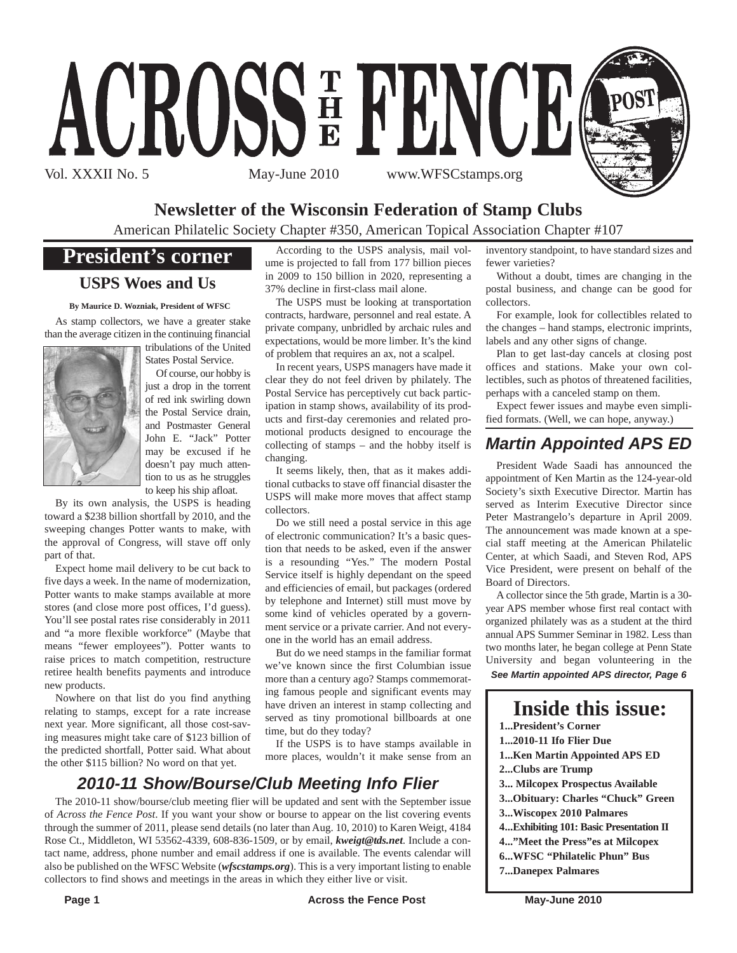

### **Newsletter of the Wisconsin Federation of Stamp Clubs**

American Philatelic Society Chapter #350, American Topical Association Chapter #107

### **President's corner**

### **USPS Woes and Us**

**By Maurice D. Wozniak, President of WFSC**

As stamp collectors, we have a greater stake than the average citizen in the continuing financial



tribulations of the United States Postal Service.

Of course, our hobby is just a drop in the torrent of red ink swirling down the Postal Service drain, and Postmaster General John E. "Jack" Potter may be excused if he doesn't pay much attention to us as he struggles to keep his ship afloat.

By its own analysis, the USPS is heading toward a \$238 billion shortfall by 2010, and the sweeping changes Potter wants to make, with the approval of Congress, will stave off only part of that.

Expect home mail delivery to be cut back to five days a week. In the name of modernization, Potter wants to make stamps available at more stores (and close more post offices, I'd guess). You'll see postal rates rise considerably in 2011 and "a more flexible workforce" (Maybe that means "fewer employees"). Potter wants to raise prices to match competition, restructure retiree health benefits payments and introduce new products.

Nowhere on that list do you find anything relating to stamps, except for a rate increase next year. More significant, all those cost-saving measures might take care of \$123 billion of the predicted shortfall, Potter said. What about the other \$115 billion? No word on that yet.

According to the USPS analysis, mail volume is projected to fall from 177 billion pieces in 2009 to 150 billion in 2020, representing a 37% decline in first-class mail alone.

The USPS must be looking at transportation contracts, hardware, personnel and real estate. A private company, unbridled by archaic rules and expectations, would be more limber. It's the kind of problem that requires an ax, not a scalpel.

In recent years, USPS managers have made it clear they do not feel driven by philately. The Postal Service has perceptively cut back participation in stamp shows, availability of its products and first-day ceremonies and related promotional products designed to encourage the collecting of stamps – and the hobby itself is changing.

It seems likely, then, that as it makes additional cutbacks to stave off financial disaster the USPS will make more moves that affect stamp collectors.

Do we still need a postal service in this age of electronic communication? It's a basic question that needs to be asked, even if the answer is a resounding "Yes." The modern Postal Service itself is highly dependant on the speed and efficiencies of email, but packages (ordered by telephone and Internet) still must move by some kind of vehicles operated by a government service or a private carrier. And not everyone in the world has an email address.

But do we need stamps in the familiar format we've known since the first Columbian issue more than a century ago? Stamps commemorating famous people and significant events may have driven an interest in stamp collecting and served as tiny promotional billboards at one time, but do they today?

If the USPS is to have stamps available in more places, wouldn't it make sense from an

### *2010-11 Show/Bourse/Club Meeting Info Flier*

The 2010-11 show/bourse/club meeting flier will be updated and sent with the September issue of *Across the Fence Post*. If you want your show or bourse to appear on the list covering events through the summer of 2011, please send details (no later than Aug. 10, 2010) to Karen Weigt, 4184 Rose Ct., Middleton, WI 53562-4339, 608-836-1509, or by email, *kweigt@tds.net*. Include a contact name, address, phone number and email address if one is available. The events calendar will also be published on the WFSC Website (*wfscstamps.org*). This is a very important listing to enable collectors to find shows and meetings in the areas in which they either live or visit.

inventory standpoint, to have standard sizes and fewer varieties?

Without a doubt, times are changing in the postal business, and change can be good for collectors.

For example, look for collectibles related to the changes – hand stamps, electronic imprints, labels and any other signs of change.

Plan to get last-day cancels at closing post offices and stations. Make your own collectibles, such as photos of threatened facilities, perhaps with a canceled stamp on them.

Expect fewer issues and maybe even simplified formats. (Well, we can hope, anyway.)

### *Martin Appointed APS ED*

President Wade Saadi has announced the appointment of Ken Martin as the 124-year-old Society's sixth Executive Director. Martin has served as Interim Executive Director since Peter Mastrangelo's departure in April 2009. The announcement was made known at a special staff meeting at the American Philatelic Center, at which Saadi, and Steven Rod, APS Vice President, were present on behalf of the Board of Directors.

A collector since the 5th grade, Martin is a 30 year APS member whose first real contact with organized philately was as a student at the third annual APS Summer Seminar in 1982. Less than two months later, he began college at Penn State University and began volunteering in the *See Martin appointed APS director, Page 6*

**Inside this issue: 1...President's Corner 1...2010-11 Ifo Flier Due 1...Ken Martin Appointed APS ED 2...Clubs are Trump 3... Milcopex Prospectus Available 3...Obituary: Charles "Chuck" Green 3...Wiscopex 2010 Palmares 4...Exhibiting 101: Basic Presentation II 4..."Meet the Press"es at Milcopex 6...WFSC "Philatelic Phun" Bus 7...Danepex Palmares**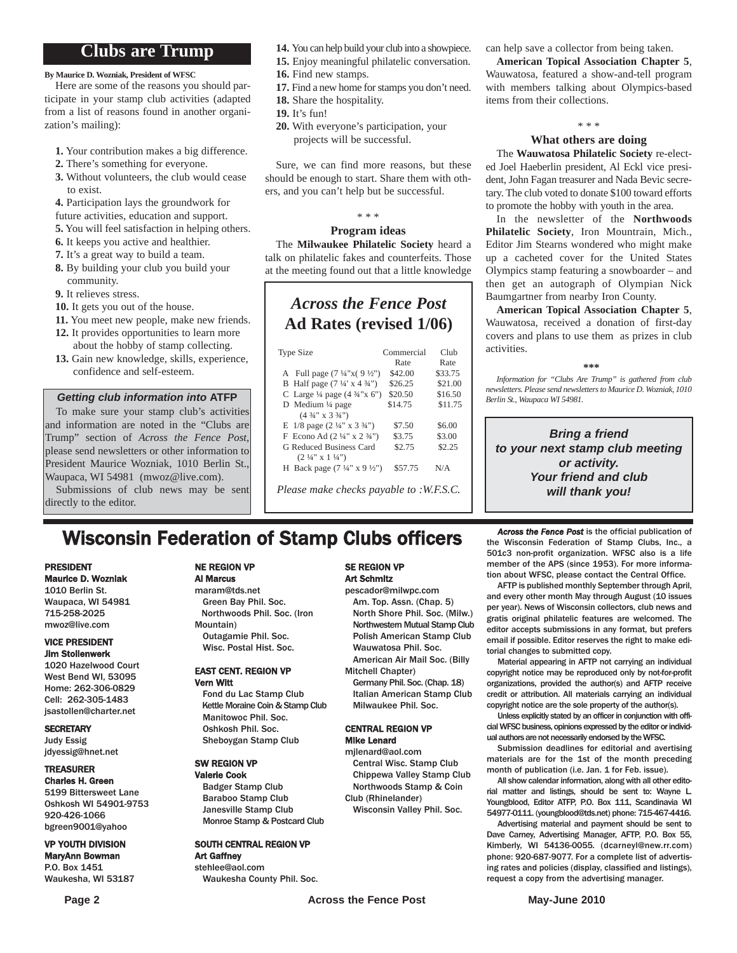### **Clubs are Trump**

**By Maurice D. Wozniak, President of WFSC**

Here are some of the reasons you should participate in your stamp club activities (adapted from a list of reasons found in another organization's mailing):

- **1.** Your contribution makes a big difference.
- **2.** There's something for everyone.
- **3.** Without volunteers, the club would cease to exist.
- **4.** Participation lays the groundwork for
- future activities, education and support.
- **5.** You will feel satisfaction in helping others.
- **6.** It keeps you active and healthier.
- **7.** It's a great way to build a team.
- **8.** By building your club you build your community.

**9.** It relieves stress.

- **10.** It gets you out of the house.
- **11.** You meet new people, make new friends.
- **12.** It provides opportunities to learn more about the hobby of stamp collecting.
- **13.** Gain new knowledge, skills, experience, confidence and self-esteem.

### *Getting club information into* **ATFP**

To make sure your stamp club's activities and information are noted in the "Clubs are Trump" section of *Across the Fence Post*, please send newsletters or other information to President Maurice Wozniak, 1010 Berlin St., Waupaca, WI 54981 (mwoz@live.com). Submissions of club news may be sent

directly to the editor.

- **14.** You can help build your club into a showpiece.
- **15.** Enjoy meaningful philatelic conversation.
- **16.** Find new stamps.
- **17.** Find a new home for stamps you don't need.
- **18.** Share the hospitality.
- **19.** It's fun!
- **20.** With everyone's participation, your projects will be successful.

Sure, we can find more reasons, but these should be enough to start. Share them with others, and you can't help but be successful.

### \* \* \*

### **Program ideas**

The **Milwaukee Philatelic Society** heard a talk on philatelic fakes and counterfeits. Those at the meeting found out that a little knowledge

### *Across the Fence Post* **Ad Rates (revised 1/06)**

| Type Size                                           | Commercial | Club    |
|-----------------------------------------------------|------------|---------|
|                                                     | Rate       | Rate    |
| A Full page $(7\frac{1}{4}x(9\frac{1}{2}y))$        | \$42.00    | \$33.75 |
| B Half page $(7\frac{1}{4} \times 4\frac{3}{4})$    | \$26.25    | \$21.00 |
| C Large $\frac{1}{4}$ page $(4 \frac{3}{4} x)$ (5") | \$20.50    | \$16.50 |
| D Medium $\frac{1}{4}$ page                         | \$14.75    | \$11.75 |
| $(4\frac{3}{4}$ " x 3 $\frac{3}{4}$ ")              |            |         |
| E $1/8$ page $(2\frac{1}{4}$ " x $3\frac{3}{4}$ ")  | \$7.50     | \$6.00  |
| F Econo Ad $(2\frac{1}{4}$ " x $2\frac{3}{4}$ ")    | \$3.75     | \$3.00  |
| G Reduced Business Card                             | \$2.75     | \$2.25  |
| $(2\frac{1}{4}$ " x 1 $\frac{1}{4}$ ")              |            |         |
| H Back page $(7\frac{1}{4}$ " x $9\frac{1}{2}$ ")   | \$57.75    | N/A     |
|                                                     |            |         |

*Please make checks payable to :W.F.S.C.*

can help save a collector from being taken.

**American Topical Association Chapter 5**, Wauwatosa, featured a show-and-tell program with members talking about Olympics-based items from their collections.

### \* \* \*

### **What others are doing**

The **Wauwatosa Philatelic Society** re-elected Joel Haeberlin president, Al Eckl vice president, John Fagan treasurer and Nada Bevic secretary. The club voted to donate \$100 toward efforts to promote the hobby with youth in the area.

In the newsletter of the **Northwoods Philatelic Society**, Iron Mountrain, Mich., Editor Jim Stearns wondered who might make up a cacheted cover for the United States Olympics stamp featuring a snowboarder – and then get an autograph of Olympian Nick Baumgartner from nearby Iron County.

**American Topical Association Chapter 5**, Wauwatosa, received a donation of first-day covers and plans to use them as prizes in club activities.

**\*\*\***

*Information for "Clubs Are Trump" is gathered from club newsletters. Please send newsletters to Maurice D. Wozniak, 1010 Berlin St., Waupaca WI 54981.*

*Bring a friend to your next stamp club meeting or activity. Your friend and club will thank you!*

### **Wisconsin Federation of Stamp Clubs officers** *Across the Fence Post* is the official publication of stamp Clubs, Inc., a

#### PRESIDENT Maurice D. Wozniak

1010 Berlin St. Waupaca, WI 54981 715-258-2025 mwoz@live.com

#### VICE PRESIDENT Jim Stollenwerk

1020 Hazelwood Court West Bend WI, 53095 Home: 262-306-0829 Cell: 262-305-1483 jsastollen@charter.net

#### **SECRETARY**

Judy Essig jdyessig@hnet.net

### TREASURER

Charles H. Green 5199 Bittersweet Lane Oshkosh WI 54901-9753 920-426-1066 bgreen9001@yahoo

#### VP YOUTH DIVISION

MaryAnn Bowman P.O. Box 1451 Waukesha, WI 53187

### NE REGION VP

### Al Marcus

maram@tds.net Green Bay Phil. Soc. Northwoods Phil. Soc. (Iron Mountain) Outagamie Phil. Soc. Wisc. Postal Hist. Soc.

#### EAST CENT. REGION VP Vern Witt

Fond du Lac Stamp Club Kettle Moraine Coin & Stamp Club Manitowoc Phil. Soc. Oshkosh Phil. Soc. Sheboygan Stamp Club

#### SW REGION VP Valerie Cook

Badger Stamp Club Baraboo Stamp Club Janesville Stamp Club Monroe Stamp & Postcard Club

### SOUTH CENTRAL REGION VP

Art Gaffney stehlee@aol.com Waukesha County Phil. Soc.

#### SE REGION VP Art Schmitz

pescador@milwpc.com Am. Top. Assn. (Chap. 5) North Shore Phil. Soc. (Milw.) Northwestern Mutual Stamp Club Polish American Stamp Club Wauwatosa Phil. Soc. American Air Mail Soc. (Billy

- Mitchell Chapter)
	- Germany Phil. Soc. (Chap. 18) Italian American Stamp Club Milwaukee Phil. Soc.

#### CENTRAL REGION VP Mike Lenard

Central Wisc. Stamp Club Chippewa Valley Stamp Club Northwoods Stamp & Coin Club (Rhinelander)

Wisconsin Valley Phil. Soc.

member of the APS (since 1953). For more information about WFSC, please contact the Central Office. AFTP is published monthly September through April, and every other month May through August (10 issues per year). News of Wisconsin collectors, club news and

the Wisconsin Federation of Stamp Clubs, Inc., a 501c3 non-profit organization. WFSC also is a life

gratis original philatelic features are welcomed. The editor accepts submissions in any format, but prefers email if possible. Editor reserves the right to make editorial changes to submitted copy.

Material appearing in AFTP not carrying an individual copyright notice may be reproduced only by not-for-profit organizations, provided the author(s) and AFTP receive credit or attribution. All materials carrying an individual copyright notice are the sole property of the author(s).

Unless explicitly stated by an officer in conjunction with official WFSC business, opinions expressed by the editor or individual authors are not necessarily endorsed by the WFSC.

Submission deadlines for editorial and avertising materials are for the 1st of the month preceding month of publication (i.e. Jan. 1 for Feb. issue).

All show calendar information, along with all other editorial matter and listings, should be sent to: Wayne L. Youngblood, Editor ATFP, P.O. Box 111, Scandinavia WI 54977-0111. (youngblood@tds.net) phone: 715-467-4416.

Advertising material and payment should be sent to Dave Carney, Advertising Manager, AFTP, P.O. Box 55, Kimberly, WI 54136-0055. (dcarneyl@new.rr.com) phone: 920-687-9077. For a complete list of advertising rates and policies (display, classified and listings), request a copy from the advertising manager.

## mjlenard@aol.com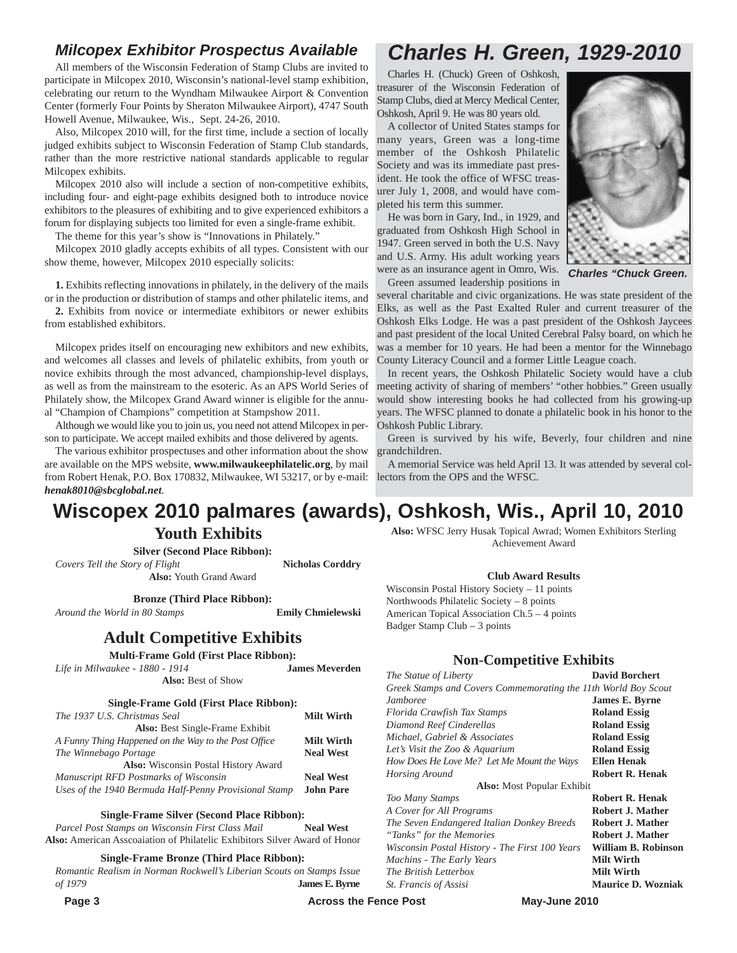### *Milcopex Exhibitor Prospectus Available*

All members of the Wisconsin Federation of Stamp Clubs are invited to participate in Milcopex 2010, Wisconsin's national-level stamp exhibition, celebrating our return to the Wyndham Milwaukee Airport & Convention Center (formerly Four Points by Sheraton Milwaukee Airport), 4747 South Howell Avenue, Milwaukee, Wis., Sept. 24-26, 2010.

Also, Milcopex 2010 will, for the first time, include a section of locally judged exhibits subject to Wisconsin Federation of Stamp Club standards, rather than the more restrictive national standards applicable to regular Milcopex exhibits.

Milcopex 2010 also will include a section of non-competitive exhibits, including four- and eight-page exhibits designed both to introduce novice exhibitors to the pleasures of exhibiting and to give experienced exhibitors a forum for displaying subjects too limited for even a single-frame exhibit.

The theme for this year's show is "Innovations in Philately."

Milcopex 2010 gladly accepts exhibits of all types. Consistent with our show theme, however, Milcopex 2010 especially solicits:

**1.** Exhibits reflecting innovations in philately, in the delivery of the mails or in the production or distribution of stamps and other philatelic items, and

**2.** Exhibits from novice or intermediate exhibitors or newer exhibits from established exhibitors.

Milcopex prides itself on encouraging new exhibitors and new exhibits, and welcomes all classes and levels of philatelic exhibits, from youth or novice exhibits through the most advanced, championship-level displays, as well as from the mainstream to the esoteric. As an APS World Series of Philately show, the Milcopex Grand Award winner is eligible for the annual "Champion of Champions" competition at Stampshow 2011.

Although we would like you to join us, you need not attend Milcopex in person to participate. We accept mailed exhibits and those delivered by agents.

The various exhibitor prospectuses and other information about the show are available on the MPS website, **www.milwaukeephilatelic.org**, by mail from Robert Henak, P.O. Box 170832, Milwaukee, WI 53217, or by e-mail: *henak8010@sbcglobal.net*.

### *Charles H. Green, 1929-2010*

Charles H. (Chuck) Green of Oshkosh, treasurer of the Wisconsin Federation of Stamp Clubs, died at Mercy Medical Center, Oshkosh, April 9. He was 80 years old.

A collector of United States stamps for many years, Green was a long-time member of the Oshkosh Philatelic Society and was its immediate past president. He took the office of WFSC treasurer July 1, 2008, and would have completed his term this summer.

He was born in Gary, Ind., in 1929, and graduated from Oshkosh High School in 1947. Green served in both the U.S. Navy and U.S. Army. His adult working years were as an insurance agent in Omro, Wis. Green assumed leadership positions in



*Charles "Chuck Green.*

several charitable and civic organizations. He was state president of the Elks, as well as the Past Exalted Ruler and current treasurer of the Oshkosh Elks Lodge. He was a past president of the Oshkosh Jaycees and past president of the local United Cerebral Palsy board, on which he was a member for 10 years. He had been a mentor for the Winnebago County Literacy Council and a former Little League coach.

In recent years, the Oshkosh Philatelic Society would have a club meeting activity of sharing of members' "other hobbies." Green usually would show interesting books he had collected from his growing-up years. The WFSC planned to donate a philatelic book in his honor to the Oshkosh Public Library.

Green is survived by his wife, Beverly, four children and nine grandchildren.

A memorial Service was held April 13. It was attended by several collectors from the OPS and the WFSC.

**Also:** WFSC Jerry Husak Topical Awrad; Women Exhibitors Sterling Achievement Award

**Club Award Results**

**Non-Competitive Exhibits** *The Statue of Liberty* **David Borchert** *Greek Stamps and Covers Commemorating the 11th World Boy Scout Jamboree* **James E. Byrne** *Florida Crawfish Tax Stamps* **Roland Essig** *Diamond Reef Cinderellas* **Roland Essig** *Michael, Gabriel & Associates* **Roland Essig** *Let's Visit the Zoo & Aquarium* **Roland Essig** *How Does He Love Me? Let Me Mount the Ways* **Ellen Henak** *Horsing Around* **Robert R. Henak Also:** Most Popular Exhibit *Too Many Stamps* **Robert R. Henak** *A Cover for All Programs* **Robert J. Mather** *The Seven Endangered Italian Donkey Breeds* **Robert J. Mather** *"Tanks" for the Memories* **Robert J. Mather** *Wisconsin Postal History - The First 100 Years* **William B. Robinson**

Wisconsin Postal History Society – 11 points Northwoods Philatelic Society – 8 points American Topical Association Ch.5 – 4 points

Badger Stamp Club – 3 points

 $Machins$  - The Early Years

### **Wiscopex 2010 palmares (awards), Oshkosh, Wis., April 10, 2010**

### **Youth Exhibits**

**Silver (Second Place Ribbon):**

*Covers Tell the Story of Flight* **Nicholas Corddry Also:** Youth Grand Award

**Bronze (Third Place Ribbon):**

*Around the World in 80 Stamps* **Emily Chmielewski**

### **Adult Competitive Exhibits**

**Multi-Frame Gold (First Place Ribbon):**

| Life in Milwaukee - 1880 - 1914         | <b>James Meverden</b> |
|-----------------------------------------|-----------------------|
| <b>Also:</b> Best of Show               |                       |
| Single-Frame Gold (First Place Ribbon): |                       |
| T11<br>$1027$ $116$ $21$ $1$ $21$       | B #*1, XX7* .1        |

| The 1937 U.S. Christmas Seal                          | <b>Milt Wirth</b> |
|-------------------------------------------------------|-------------------|
| <b>Also:</b> Best Single-Frame Exhibit                |                   |
| A Funny Thing Happened on the Way to the Post Office  | <b>Milt Wirth</b> |
| The Winnebago Portage                                 | <b>Neal West</b>  |
| Also: Wisconsin Postal History Award                  |                   |
| Manuscript RFD Postmarks of Wisconsin                 | <b>Neal West</b>  |
| Uses of the 1940 Bermuda Half-Penny Provisional Stamp | <b>John Pare</b>  |

**Single-Frame Silver (Second Place Ribbon):**

*Parcel Post Stamps on Wisconsin First Class Mail* **Neal West Also:** American Asscoaiation of Philatelic Exhibitors Silver Award of Honor

**Single-Frame Bronze (Third Place Ribbon):**

*Romantic Realism in Norman Rockwell's Liberian Scouts on Stamps Issue of 1979* **James E. Byrne**

**Page 3** May-June 2010

*The British Letterbox* **Milt Wirth**

*St. Francis of Assisi* **Maurice D. Wozniak**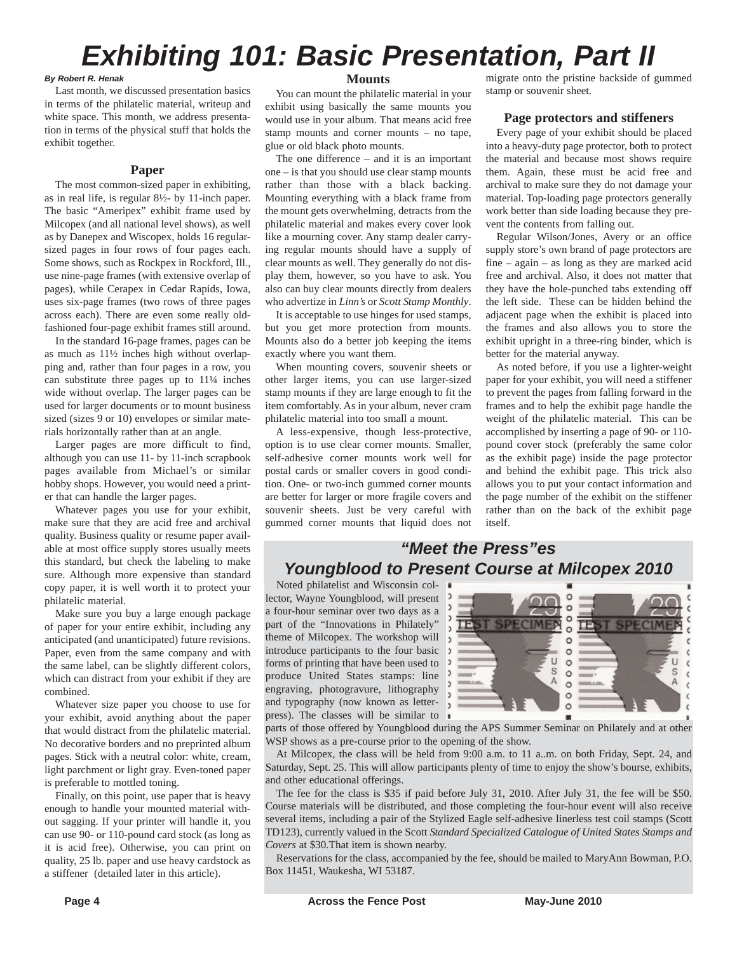### *Exhibiting 101: Basic Presentation, Part II*

#### *By Robert R. Henak*

Last month, we discussed presentation basics in terms of the philatelic material, writeup and white space. This month, we address presentation in terms of the physical stuff that holds the exhibit together.

### **Paper**

The most common-sized paper in exhibiting, as in real life, is regular 8½- by 11-inch paper. The basic "Ameripex" exhibit frame used by Milcopex (and all national level shows), as well as by Danepex and Wiscopex, holds 16 regularsized pages in four rows of four pages each. Some shows, such as Rockpex in Rockford, Ill., use nine-page frames (with extensive overlap of pages), while Cerapex in Cedar Rapids, Iowa, uses six-page frames (two rows of three pages across each). There are even some really oldfashioned four-page exhibit frames still around.

In the standard 16-page frames, pages can be as much as 11½ inches high without overlapping and, rather than four pages in a row, you can substitute three pages up to 11¼ inches wide without overlap. The larger pages can be used for larger documents or to mount business sized (sizes 9 or 10) envelopes or similar materials horizontally rather than at an angle.

Larger pages are more difficult to find, although you can use 11- by 11-inch scrapbook pages available from Michael's or similar hobby shops. However, you would need a printer that can handle the larger pages.

Whatever pages you use for your exhibit, make sure that they are acid free and archival quality. Business quality or resume paper available at most office supply stores usually meets this standard, but check the labeling to make sure. Although more expensive than standard copy paper, it is well worth it to protect your philatelic material.

Make sure you buy a large enough package of paper for your entire exhibit, including any anticipated (and unanticipated) future revisions. Paper, even from the same company and with the same label, can be slightly different colors, which can distract from your exhibit if they are combined.

Whatever size paper you choose to use for your exhibit, avoid anything about the paper that would distract from the philatelic material. No decorative borders and no preprinted album pages. Stick with a neutral color: white, cream, light parchment or light gray. Even-toned paper is preferable to mottled toning.

Finally, on this point, use paper that is heavy enough to handle your mounted material without sagging. If your printer will handle it, you can use 90- or 110-pound card stock (as long as it is acid free). Otherwise, you can print on quality, 25 lb. paper and use heavy cardstock as a stiffener (detailed later in this article).

### **Mounts**

You can mount the philatelic material in your exhibit using basically the same mounts you would use in your album. That means acid free stamp mounts and corner mounts – no tape, glue or old black photo mounts.

The one difference – and it is an important one – is that you should use clear stamp mounts rather than those with a black backing. Mounting everything with a black frame from the mount gets overwhelming, detracts from the philatelic material and makes every cover look like a mourning cover. Any stamp dealer carrying regular mounts should have a supply of clear mounts as well. They generally do not display them, however, so you have to ask. You also can buy clear mounts directly from dealers who advertize in *Linn's* or *Scott Stamp Monthly*.

It is acceptable to use hinges for used stamps, but you get more protection from mounts. Mounts also do a better job keeping the items exactly where you want them.

When mounting covers, souvenir sheets or other larger items, you can use larger-sized stamp mounts if they are large enough to fit the item comfortably. As in your album, never cram philatelic material into too small a mount.

A less-expensive, though less-protective, option is to use clear corner mounts. Smaller, self-adhesive corner mounts work well for postal cards or smaller covers in good condition. One- or two-inch gummed corner mounts are better for larger or more fragile covers and souvenir sheets. Just be very careful with gummed corner mounts that liquid does not migrate onto the pristine backside of gummed stamp or souvenir sheet.

### **Page protectors and stiffeners**

Every page of your exhibit should be placed into a heavy-duty page protector, both to protect the material and because most shows require them. Again, these must be acid free and archival to make sure they do not damage your material. Top-loading page protectors generally work better than side loading because they prevent the contents from falling out.

Regular Wilson/Jones, Avery or an office supply store's own brand of page protectors are fine – again – as long as they are marked acid free and archival. Also, it does not matter that they have the hole-punched tabs extending off the left side. These can be hidden behind the adjacent page when the exhibit is placed into the frames and also allows you to store the exhibit upright in a three-ring binder, which is better for the material anyway.

As noted before, if you use a lighter-weight paper for your exhibit, you will need a stiffener to prevent the pages from falling forward in the frames and to help the exhibit page handle the weight of the philatelic material. This can be accomplished by inserting a page of 90- or 110 pound cover stock (preferably the same color as the exhibit page) inside the page protector and behind the exhibit page. This trick also allows you to put your contact information and the page number of the exhibit on the stiffener rather than on the back of the exhibit page itself.

### *"Meet the Press"es Youngblood to Present Course at Milcopex 2010*

Noted philatelist and Wisconsin collector, Wayne Youngblood, will present a four-hour seminar over two days as a part of the "Innovations in Philately" theme of Milcopex. The workshop will introduce participants to the four basic  $\rightarrow$ forms of printing that have been used to produce United States stamps: line engraving, photogravure, lithography and typography (now known as letterpress). The classes will be similar to



parts of those offered by Youngblood during the APS Summer Seminar on Philately and at other WSP shows as a pre-course prior to the opening of the show.

At Milcopex, the class will be held from 9:00 a.m. to 11 a..m. on both Friday, Sept. 24, and Saturday, Sept. 25. This will allow participants plenty of time to enjoy the show's bourse, exhibits, and other educational offerings.

The fee for the class is \$35 if paid before July 31, 2010. After July 31, the fee will be \$50. Course materials will be distributed, and those completing the four-hour event will also receive several items, including a pair of the Stylized Eagle self-adhesive linerless test coil stamps (Scott TD123), currently valued in the Scott *Standard Specialized Catalogue of United States Stamps and Covers* at \$30.That item is shown nearby.

Reservations for the class, accompanied by the fee, should be mailed to MaryAnn Bowman, P.O. Box 11451, Waukesha, WI 53187.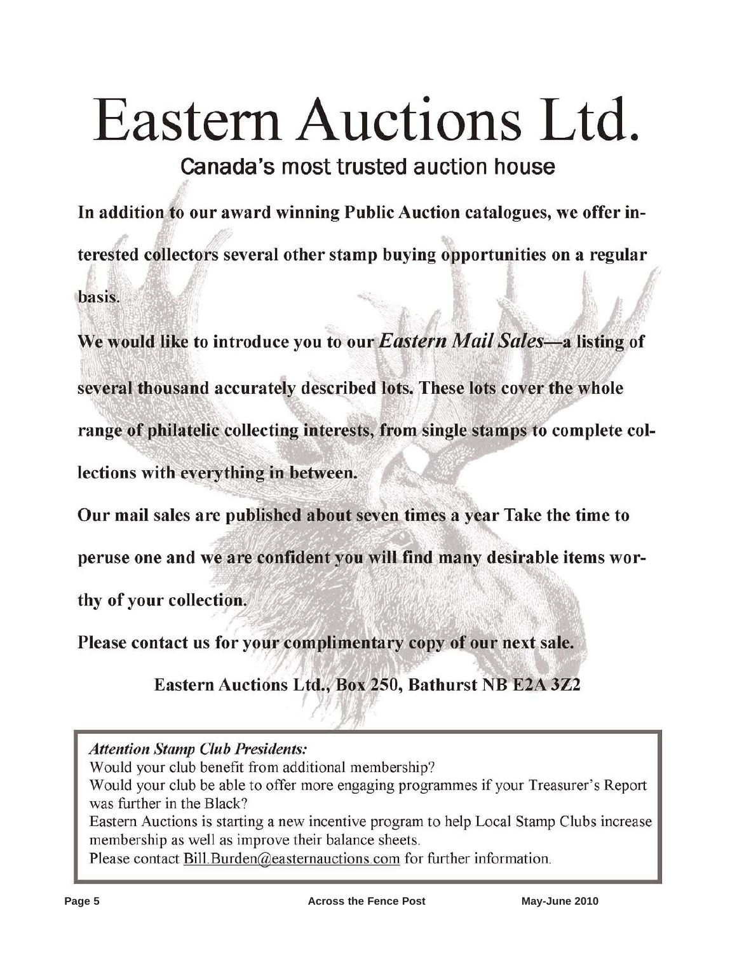# Eastern Auctions Ltd.

Canada's most trusted auction house

In addition to our award winning Public Auction catalogues, we offer interested collectors several other stamp buying opportunities on a regular basis.

We would like to introduce you to our Eastern Mail Sales-a listing of several thousand accurately described lots. These lots cover the whole range of philatelic collecting interests, from single stamps to complete collections with everything in between.

Our mail sales are published about seven times a year Take the time to

peruse one and we are confident you will find many desirable items wor-

thy of your collection.

Please contact us for your complimentary copy of our next sale.

Eastern Auctions Ltd., Box 250, Bathurst NB E2A 3Z2

**Attention Stamp Club Presidents:** 

Would your club benefit from additional membership?

Would your club be able to offer more engaging programmes if your Treasurer's Report was further in the Black?

Eastern Auctions is starting a new incentive program to help Local Stamp Clubs increase membership as well as improve their balance sheets.

Please contact Bill Burden@easternauctions.com for further information.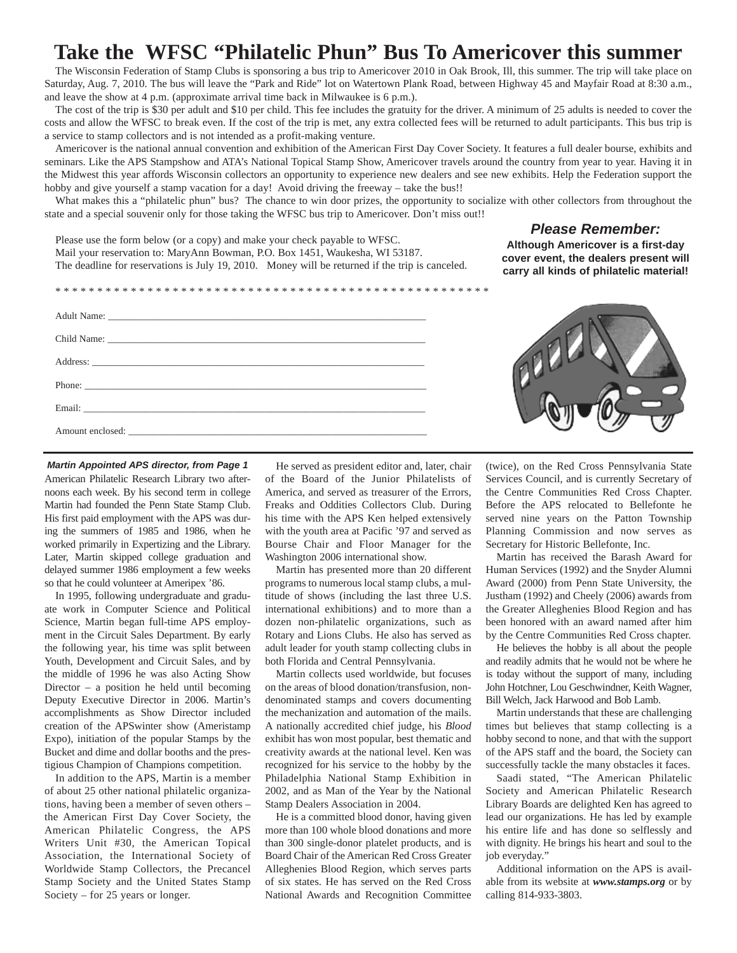### **Take the WFSC "Philatelic Phun" Bus To Americover this summer**

The Wisconsin Federation of Stamp Clubs is sponsoring a bus trip to Americover 2010 in Oak Brook, Ill, this summer. The trip will take place on Saturday, Aug. 7, 2010. The bus will leave the "Park and Ride" lot on Watertown Plank Road, between Highway 45 and Mayfair Road at 8:30 a.m., and leave the show at 4 p.m. (approximate arrival time back in Milwaukee is 6 p.m.).

The cost of the trip is \$30 per adult and \$10 per child. This fee includes the gratuity for the driver. A minimum of 25 adults is needed to cover the costs and allow the WFSC to break even. If the cost of the trip is met, any extra collected fees will be returned to adult participants. This bus trip is a service to stamp collectors and is not intended as a profit-making venture.

Americover is the national annual convention and exhibition of the American First Day Cover Society. It features a full dealer bourse, exhibits and seminars. Like the APS Stampshow and ATA's National Topical Stamp Show, Americover travels around the country from year to year. Having it in the Midwest this year affords Wisconsin collectors an opportunity to experience new dealers and see new exhibits. Help the Federation support the hobby and give yourself a stamp vacation for a day! Avoid driving the freeway – take the bus!!

What makes this a "philatelic phun" bus? The chance to win door prizes, the opportunity to socialize with other collectors from throughout the state and a special souvenir only for those taking the WFSC bus trip to Americover. Don't miss out!!

### *Please Remember:*

Please use the form below (or a copy) and make your check payable to WFSC. Mail your reservation to: MaryAnn Bowman, P.O. Box 1451, Waukesha, WI 53187. The deadline for reservations is July 19, 2010. Money will be returned if the trip is canceled.

### **Although Americover is a first-day cover event, the dealers present will carry all kinds of philatelic material!**

\* \* \* \* \* \* \* \* \* \* \* \* \* \* \* \* \* \* \* \* \* \* \* \* \* \* \* \* \* \* \* \* \* \* \* \* \* \* \* \* \* \* \* \* \* \* \* \* \* \* \* \* Adult Name: \_\_\_\_\_\_\_\_\_\_\_\_\_\_\_\_\_\_\_\_\_\_\_\_\_\_\_\_\_\_\_\_\_\_\_\_\_\_\_\_\_\_\_\_\_\_\_\_\_\_\_\_\_\_\_\_\_\_\_\_\_\_\_\_\_\_ Child Name: \_\_\_\_\_\_\_\_\_\_\_\_\_\_\_\_\_\_\_\_\_\_\_\_\_\_\_\_\_\_\_\_\_\_\_\_\_\_\_\_\_\_\_\_\_\_\_\_\_\_\_\_\_\_\_\_\_\_\_\_\_\_\_\_\_\_ Address: \_\_\_\_\_\_\_\_\_\_\_\_\_\_\_\_\_\_\_\_\_\_\_\_\_\_\_\_\_\_\_\_\_\_\_\_\_\_\_\_\_\_\_\_\_\_\_\_\_\_\_\_\_\_\_\_\_\_\_\_\_\_\_\_\_\_\_\_\_ Phone: \_\_\_\_\_\_\_\_\_\_\_\_\_\_\_\_\_\_\_\_\_\_\_\_\_\_\_\_\_\_\_\_\_\_\_\_\_\_\_\_\_\_\_\_\_\_\_\_\_\_\_\_\_\_\_\_\_\_\_\_\_\_\_\_\_\_\_\_\_\_\_ Email: \_\_\_\_\_\_\_\_\_\_\_\_\_\_\_\_\_\_\_\_\_\_\_\_\_\_\_\_\_\_\_\_\_\_\_\_\_\_\_\_\_\_\_\_\_\_\_\_\_\_\_\_\_\_\_\_\_\_\_\_\_\_\_\_\_\_\_\_\_\_\_ Amount enclosed:

American Philatelic Research Library two afternoons each week. By his second term in college Martin had founded the Penn State Stamp Club. His first paid employment with the APS was during the summers of 1985 and 1986, when he worked primarily in Expertizing and the Library. Later, Martin skipped college graduation and delayed summer 1986 employment a few weeks so that he could volunteer at Ameripex '86. *Martin Appointed APS director, from Page 1*

In 1995, following undergraduate and graduate work in Computer Science and Political Science, Martin began full-time APS employment in the Circuit Sales Department. By early the following year, his time was split between Youth, Development and Circuit Sales, and by the middle of 1996 he was also Acting Show Director – a position he held until becoming Deputy Executive Director in 2006. Martin's accomplishments as Show Director included creation of the APSwinter show (Ameristamp Expo), initiation of the popular Stamps by the Bucket and dime and dollar booths and the prestigious Champion of Champions competition.

In addition to the APS, Martin is a member of about 25 other national philatelic organizations, having been a member of seven others – the American First Day Cover Society, the American Philatelic Congress, the APS Writers Unit #30, the American Topical Association, the International Society of Worldwide Stamp Collectors, the Precancel Stamp Society and the United States Stamp Society – for 25 years or longer.

He served as president editor and, later, chair of the Board of the Junior Philatelists of America, and served as treasurer of the Errors, Freaks and Oddities Collectors Club. During his time with the APS Ken helped extensively with the youth area at Pacific '97 and served as Bourse Chair and Floor Manager for the Washington 2006 international show.

Martin has presented more than 20 different programs to numerous local stamp clubs, a multitude of shows (including the last three U.S. international exhibitions) and to more than a dozen non-philatelic organizations, such as Rotary and Lions Clubs. He also has served as adult leader for youth stamp collecting clubs in both Florida and Central Pennsylvania.

Martin collects used worldwide, but focuses on the areas of blood donation/transfusion, nondenominated stamps and covers documenting the mechanization and automation of the mails. A nationally accredited chief judge, his *Blood* exhibit has won most popular, best thematic and creativity awards at the national level. Ken was recognized for his service to the hobby by the Philadelphia National Stamp Exhibition in 2002, and as Man of the Year by the National Stamp Dealers Association in 2004.

He is a committed blood donor, having given more than 100 whole blood donations and more than 300 single-donor platelet products, and is Board Chair of the American Red Cross Greater Alleghenies Blood Region, which serves parts of six states. He has served on the Red Cross National Awards and Recognition Committee

(twice), on the Red Cross Pennsylvania State Services Council, and is currently Secretary of the Centre Communities Red Cross Chapter. Before the APS relocated to Bellefonte he served nine years on the Patton Township Planning Commission and now serves as Secretary for Historic Bellefonte, Inc.

Martin has received the Barash Award for Human Services (1992) and the Snyder Alumni Award (2000) from Penn State University, the Justham (1992) and Cheely (2006) awards from the Greater Alleghenies Blood Region and has been honored with an award named after him by the Centre Communities Red Cross chapter.

He believes the hobby is all about the people and readily admits that he would not be where he is today without the support of many, including John Hotchner, Lou Geschwindner, Keith Wagner, Bill Welch, Jack Harwood and Bob Lamb.

Martin understands that these are challenging times but believes that stamp collecting is a hobby second to none, and that with the support of the APS staff and the board, the Society can successfully tackle the many obstacles it faces.

Saadi stated, "The American Philatelic Society and American Philatelic Research Library Boards are delighted Ken has agreed to lead our organizations. He has led by example his entire life and has done so selflessly and with dignity. He brings his heart and soul to the job everyday."

Additional information on the APS is available from its website at *www.stamps.org* or by calling 814-933-3803.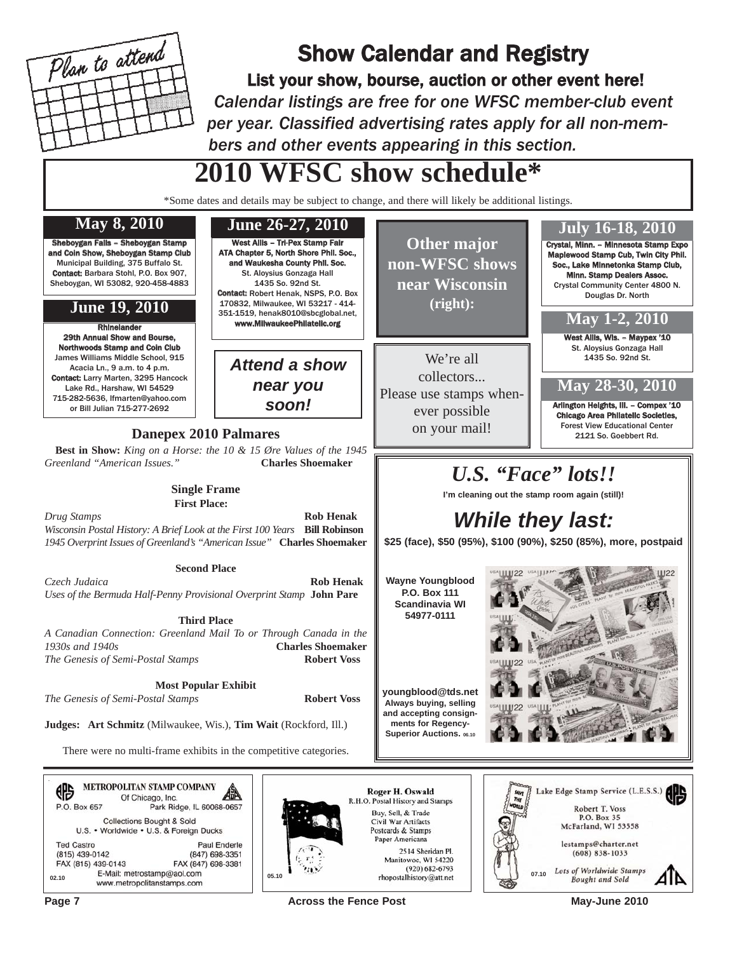

### Show Calendar and Registry

List your show, bourse, auction or other event here! *Calendar listings are free for one WFSC member-club event per year. Classified advertising rates apply for all non-members and other events appearing in this section.*

> **Other major non-WFSC shows near Wisconsin (right):**

We're all collectors... Please use stamps whenever possible

### **2010 WFSC show schedule\***

\*Some dates and details may be subject to change, and there will likely be additional listings.

West Allis – Tri-Pex Stamp Fair ATA Chapter 5, North Shore Phil. Soc., and Waukesha County Phil. Soc. St. Aloysius Gonzaga Hall 1435 So. 92nd St. Contact: Robert Henak, NSPS, P.O. Box 170832, Milwaukee, WI 53217 - 414- 351-1519, henak8010@sbcglobal.net,

> *Attend a show near you soon!*

### **May 8, 2010**

Sheboygan Falls – Sheboygan Stamp and Coin Show, Sheboygan Stamp Club Municipal Building, 375 Buffalo St. Contact: Barbara Stohl, P.O. Box 907, Sheboygan, WI 53082, 920-458-4883

### **June 19, 2010**

www.MilwaukeePhilatelic.org Rhinelander 29th Annual Show and Bourse, Northwoods Stamp and Coin Club James Williams Middle School, 915 Acacia Ln., 9 a.m. to 4 p.m. Contact: Larry Marten, 3295 Hancock Lake Rd., Harshaw, WI 54529 715-282-5636, lfmarten@yahoo.com or Bill Julian 715-277-2692

### **Danepex 2010 Palmares** and a positive on your mail!

**Best in Show:** *King on a Horse: the 10 & 15 Øre Values of the 1945 Greenland "American Issues."* **Charles Shoemaker**

#### **Single Frame First Place:**

*Drug Stamps* **Rob Henak** *Wisconsin Postal History: A Brief Look at the First 100 Years* **Bill Robinson** *1945 Overprint Issues of Greenland's "American Issue"* **Charles Shoemaker**

### **Second Place**

*Czech Judaica* **Rob Henak** *Uses of the Bermuda Half-Penny Provisional Overprint Stamp* **John Pare**

### **Third Place**

*A Canadian Connection: Greenland Mail To or Through Canada in the 1930s and 1940s* **Charles Shoemaker** *The Genesis of Semi-Postal Stamps* **Robert Voss**

**Most Popular Exhibit**

*The Genesis of Semi-Postal Stamps* **Robert Voss**

**Judges: Art Schmitz** (Milwaukee, Wis.), **Tim Wait** (Rockford, Ill.)

There were no multi-frame exhibits in the competitive categories.

|                   |                    | METROPOLITAN STAMP COMPANY<br>Of Chicago, Inc.           |
|-------------------|--------------------|----------------------------------------------------------|
|                   | P.O. Box 657       | Park Ridge, IL 60068-0657                                |
|                   |                    | <b>Collections Bought &amp; Sold</b>                     |
|                   |                    | U.S. • Worldwide • U.S. & Foreign Ducks                  |
| <b>Ted Castro</b> |                    | <b>Paul Enderle</b>                                      |
| (815) 439-0142    |                    | (847) 698-3351                                           |
|                   | FAX (815) 439-0143 | FAX (847) 698-3381                                       |
| 02.10             |                    | E-Mail: metrostamp@aol.com<br>www.metropolitanstamps.com |



Roger H. Oswald R.H.O. Postal History and Stamps Buy, Sell, & Trade Civil War Artifacts Postcards & Stamps Paper Americana 2514 Sheridan Pl.

**Page 7** May-June 2010



Crystal, Minn. – Minnesota Stamp Expo Maplewood Stamp Cub, Twin City Phil. Soc., Lake Minnetonka Stamp Club, Minn. Stamp Dealers Assoc. Crystal Community Center 4800 N. Douglas Dr. North

### **May 1-2, 2010**

West Allis, Wis. - Maypex '10 St. Aloysius Gonzaga Hall 1435 So. 92nd St.

**May 28-30, 2010**

Arlington Heights, Ill. – Compex '10 Chicago Area Philatelic Societies, Forest View Educational Center 2121 So. Goebbert Rd.

### *U.S. "Face" lots!!*

**I'm cleaning out the stamp room again (still)!**

### *While they last:*

**\$25 (face), \$50 (95%), \$100 (90%), \$250 (85%), more, postpaid**

**Wayne Youngblood P.O. Box 111 Scandinavia WI 54977-0111**

**youngblood@tds.net Always buying, selling and accepting consignments for Regency-Superior Auctions.** 06.10